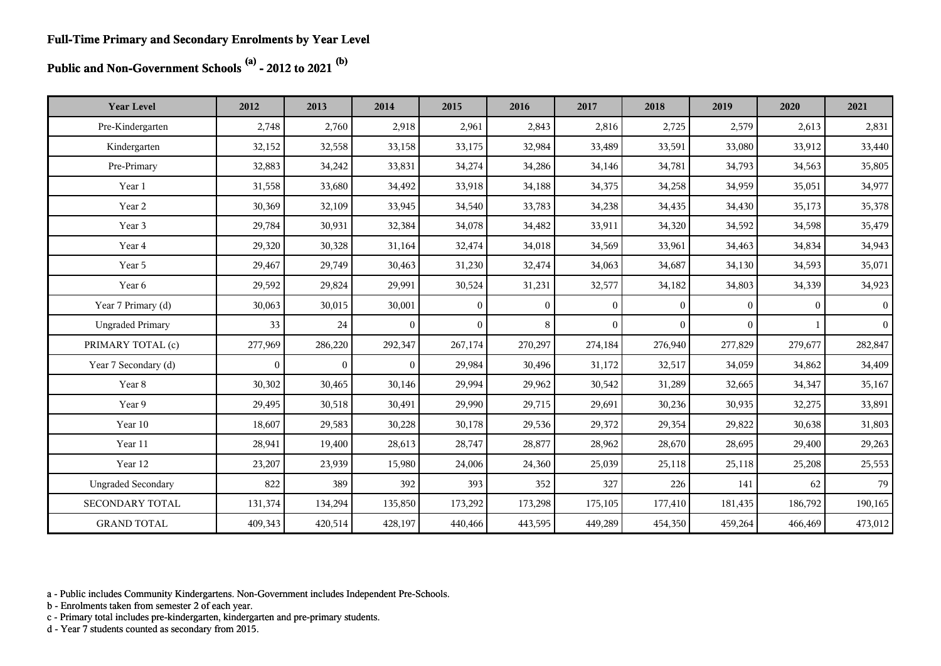# **Public and Non-Government Schools (a) - 2012 to 2021 (b)**

| <b>Year Level</b>         | 2012         | 2013           | 2014           | 2015     | 2016     | 2017     | 2018         | 2019     | 2020     | 2021            |
|---------------------------|--------------|----------------|----------------|----------|----------|----------|--------------|----------|----------|-----------------|
| Pre-Kindergarten          | 2,748        | 2,760          | 2,918          | 2,961    | 2,843    | 2,816    | 2,725        | 2,579    | 2,613    | 2,831           |
| Kindergarten              | 32,152       | 32,558         | 33,158         | 33,175   | 32,984   | 33,489   | 33,591       | 33,080   | 33,912   | 33,440          |
| Pre-Primary               | 32,883       | 34,242         | 33,831         | 34,274   | 34,286   | 34,146   | 34,781       | 34,793   | 34,563   | 35,805          |
| Year 1                    | 31,558       | 33,680         | 34,492         | 33,918   | 34,188   | 34,375   | 34,258       | 34,959   | 35,051   | 34,977          |
| Year 2                    | 30,369       | 32,109         | 33,945         | 34,540   | 33,783   | 34,238   | 34,435       | 34,430   | 35,173   | 35,378          |
| Year 3                    | 29,784       | 30,931         | 32,384         | 34,078   | 34,482   | 33,911   | 34,320       | 34,592   | 34,598   | 35,479          |
| Year 4                    | 29,320       | 30,328         | 31,164         | 32,474   | 34,018   | 34,569   | 33,961       | 34,463   | 34,834   | 34,943          |
| Year 5                    | 29,467       | 29,749         | 30,463         | 31,230   | 32,474   | 34,063   | 34,687       | 34,130   | 34,593   | 35,071          |
| Year 6                    | 29,592       | 29,824         | 29,991         | 30,524   | 31,231   | 32,577   | 34,182       | 34,803   | 34,339   | 34,923          |
| Year 7 Primary (d)        | 30,063       | 30,015         | 30,001         | $\theta$ | $\theta$ | $\theta$ | $\mathbf{0}$ | $\theta$ | $\theta$ | $\vert$ 0       |
| <b>Ungraded Primary</b>   | 33           | 24             | $\overline{0}$ | $\theta$ | 8        | $\theta$ | $\Omega$     | $\theta$ |          | $\vert 0 \vert$ |
| PRIMARY TOTAL (c)         | 277,969      | 286,220        | 292,347        | 267,174  | 270,297  | 274,184  | 276,940      | 277,829  | 279,677  | 282,847         |
| Year 7 Secondary (d)      | $\mathbf{0}$ | $\overline{0}$ | $\overline{0}$ | 29,984   | 30,496   | 31,172   | 32,517       | 34,059   | 34,862   | 34,409          |
| Year 8                    | 30,302       | 30,465         | 30,146         | 29,994   | 29,962   | 30,542   | 31,289       | 32,665   | 34,347   | 35,167          |
| Year 9                    | 29,495       | 30,518         | 30,491         | 29,990   | 29,715   | 29,691   | 30,236       | 30,935   | 32,275   | 33,891          |
| Year 10                   | 18,607       | 29,583         | 30,228         | 30,178   | 29,536   | 29,372   | 29,354       | 29,822   | 30,638   | 31,803          |
| Year 11                   | 28,941       | 19,400         | 28,613         | 28,747   | 28,877   | 28,962   | 28,670       | 28,695   | 29,400   | 29,263          |
| Year 12                   | 23,207       | 23,939         | 15,980         | 24,006   | 24,360   | 25,039   | 25,118       | 25,118   | 25,208   | 25,553          |
| <b>Ungraded Secondary</b> | 822          | 389            | 392            | 393      | 352      | 327      | 226          | 141      | 62       | 79              |
| SECONDARY TOTAL           | 131,374      | 134,294        | 135,850        | 173,292  | 173,298  | 175,105  | 177,410      | 181,435  | 186,792  | 190,165         |
| <b>GRAND TOTAL</b>        | 409,343      | 420,514        | 428,197        | 440,466  | 443,595  | 449,289  | 454,350      | 459,264  | 466,469  | 473,012         |

a - Public includes Community Kindergartens. Non-Government includes Independent Pre-Schools.

b - Enrolments taken from semester 2 of each year.

c - Primary total includes pre-kindergarten, kindergarten and pre-primary students.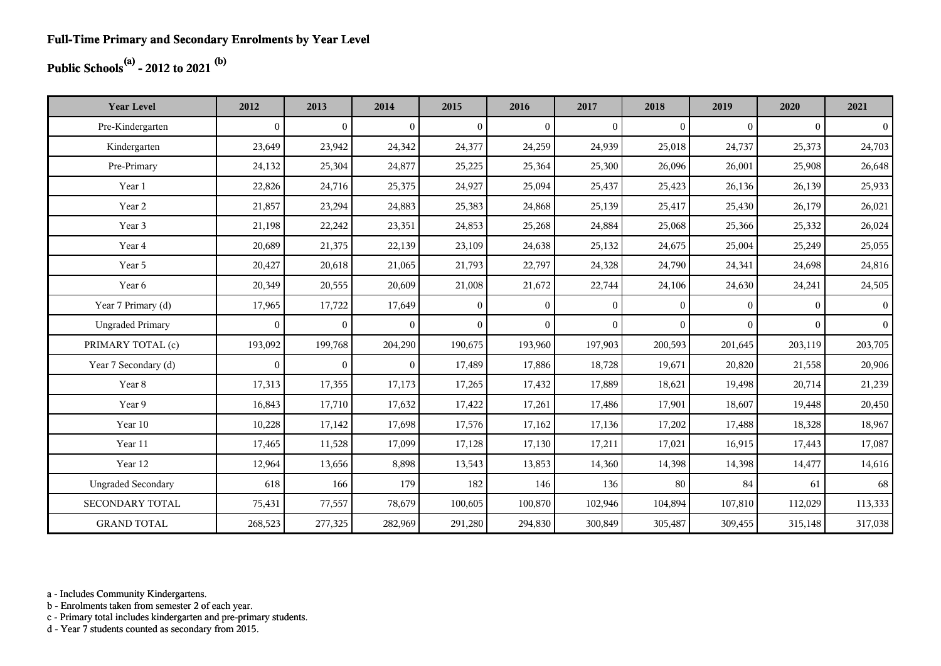## **Public Schools(a) - 2012 to 2021 (b)**

| <b>Year Level</b>         | 2012         | 2013           | 2014           | 2015           | 2016           | 2017           | 2018         | 2019         | 2020         | 2021           |
|---------------------------|--------------|----------------|----------------|----------------|----------------|----------------|--------------|--------------|--------------|----------------|
| Pre-Kindergarten          | $\mathbf{0}$ | $\overline{0}$ | $\overline{0}$ | $\overline{0}$ | $\overline{0}$ | $\mathbf{0}$   | $\mathbf{0}$ | $\mathbf{0}$ | $\mathbf{0}$ | $\vert$ 0      |
| Kindergarten              | 23,649       | 23,942         | 24,342         | 24,377         | 24,259         | 24,939         | 25,018       | 24,737       | 25,373       | 24,703         |
| Pre-Primary               | 24,132       | 25,304         | 24,877         | 25,225         | 25,364         | 25,300         | 26,096       | 26,001       | 25,908       | 26,648         |
| Year 1                    | 22,826       | 24,716         | 25,375         | 24,927         | 25,094         | 25,437         | 25,423       | 26,136       | 26,139       | 25,933         |
| Year 2                    | 21,857       | 23,294         | 24,883         | 25,383         | 24,868         | 25,139         | 25,417       | 25,430       | 26,179       | 26,021         |
| Year 3                    | 21,198       | 22,242         | 23,351         | 24,853         | 25,268         | 24,884         | 25,068       | 25,366       | 25,332       | 26,024         |
| Year 4                    | 20,689       | 21,375         | 22,139         | 23,109         | 24,638         | 25,132         | 24,675       | 25,004       | 25,249       | 25,055         |
| Year 5                    | 20,427       | 20,618         | 21,065         | 21,793         | 22,797         | 24,328         | 24,790       | 24,341       | 24,698       | 24,816         |
| Year 6                    | 20,349       | 20,555         | 20,609         | 21,008         | 21,672         | 22,744         | 24,106       | 24,630       | 24,241       | 24,505         |
| Year 7 Primary (d)        | 17,965       | 17,722         | 17,649         | $\theta$       | $\theta$       | $\overline{0}$ | $\theta$     | $\Omega$     | $\theta$     | $\overline{0}$ |
| <b>Ungraded Primary</b>   | $\mathbf{0}$ | $\overline{0}$ | $\overline{0}$ | $\overline{0}$ | $\theta$       | $\overline{0}$ | $\mathbf{0}$ | $\Omega$     | $\theta$     | $\vert$ 0      |
| PRIMARY TOTAL (c)         | 193,092      | 199,768        | 204,290        | 190,675        | 193,960        | 197,903        | 200,593      | 201,645      | 203,119      | 203,705        |
| Year 7 Secondary (d)      | $\mathbf{0}$ | $\overline{0}$ | $\overline{0}$ | 17,489         | 17,886         | 18,728         | 19,671       | 20,820       | 21,558       | 20,906         |
| Year 8                    | 17,313       | 17,355         | 17,173         | 17,265         | 17,432         | 17,889         | 18,621       | 19,498       | 20,714       | 21,239         |
| Year 9                    | 16,843       | 17,710         | 17,632         | 17,422         | 17,261         | 17,486         | 17,901       | 18,607       | 19,448       | 20,450         |
| Year 10                   | 10,228       | 17,142         | 17,698         | 17,576         | 17,162         | 17,136         | 17,202       | 17,488       | 18,328       | 18,967         |
| Year 11                   | 17,465       | 11,528         | 17,099         | 17,128         | 17,130         | 17,211         | 17,021       | 16,915       | 17,443       | 17,087         |
| Year 12                   | 12,964       | 13,656         | 8,898          | 13,543         | 13,853         | 14,360         | 14,398       | 14,398       | 14,477       | 14,616         |
| <b>Ungraded Secondary</b> | 618          | 166            | 179            | 182            | 146            | 136            | 80           | 84           | 61           | 68             |
| SECONDARY TOTAL           | 75,431       | 77,557         | 78,679         | 100,605        | 100,870        | 102,946        | 104,894      | 107,810      | 112,029      | 113,333        |
| <b>GRAND TOTAL</b>        | 268,523      | 277,325        | 282,969        | 291,280        | 294,830        | 300,849        | 305,487      | 309,455      | 315,148      | 317,038        |

a - Includes Community Kindergartens.

b - Enrolments taken from semester 2 of each year.

c - Primary total includes kindergarten and pre-primary students.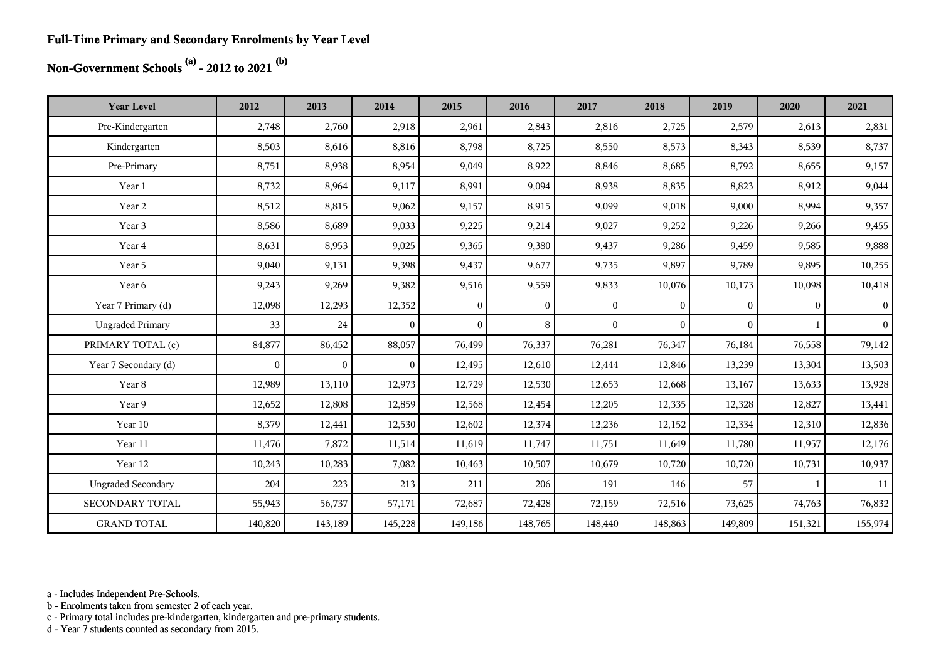#### **Full-Time Primary and Secondary Enrolments by Year Level**

## **Non-Government Schools (a) - 2012 to 2021 (b)**

| <b>Year Level</b>         | 2012         | 2013     | 2014           | 2015           | 2016         | 2017         | 2018     | 2019         | 2020         | 2021           |
|---------------------------|--------------|----------|----------------|----------------|--------------|--------------|----------|--------------|--------------|----------------|
| Pre-Kindergarten          | 2,748        | 2,760    | 2,918          | 2,961          | 2,843        | 2,816        | 2,725    | 2,579        | 2,613        | 2,831          |
| Kindergarten              | 8,503        | 8,616    | 8,816          | 8,798          | 8,725        | 8,550        | 8,573    | 8,343        | 8,539        | 8,737          |
| Pre-Primary               | 8,751        | 8,938    | 8,954          | 9,049          | 8,922        | 8,846        | 8,685    | 8,792        | 8,655        | 9,157          |
| Year 1                    | 8,732        | 8,964    | 9,117          | 8,991          | 9,094        | 8,938        | 8,835    | 8,823        | 8,912        | 9,044          |
| Year 2                    | 8,512        | 8,815    | 9,062          | 9,157          | 8,915        | 9,099        | 9,018    | 9,000        | 8,994        | 9,357          |
| Year 3                    | 8,586        | 8,689    | 9,033          | 9,225          | 9,214        | 9,027        | 9,252    | 9,226        | 9,266        | 9,455          |
| Year 4                    | 8,631        | 8,953    | 9,025          | 9,365          | 9,380        | 9,437        | 9,286    | 9,459        | 9,585        | 9,888          |
| Year 5                    | 9,040        | 9,131    | 9,398          | 9,437          | 9,677        | 9,735        | 9,897    | 9,789        | 9,895        | 10,255         |
| Year 6                    | 9,243        | 9,269    | 9,382          | 9,516          | 9,559        | 9,833        | 10,076   | 10,173       | 10,098       | 10,418         |
| Year 7 Primary (d)        | 12,098       | 12,293   | 12,352         | $\overline{0}$ | $\mathbf{0}$ | $\mathbf{0}$ | $\Omega$ | $\mathbf{0}$ | $\mathbf{0}$ | $\vert$        |
| <b>Ungraded Primary</b>   | 33           | 24       | $\mathbf{0}$   | $\theta$       | 8            | $\theta$     | $\Omega$ | $\Omega$     | $\mathbf{1}$ | 0 <sup>1</sup> |
| PRIMARY TOTAL (c)         | 84,877       | 86,452   | 88,057         | 76,499         | 76,337       | 76,281       | 76,347   | 76,184       | 76,558       | 79,142         |
| Year 7 Secondary (d)      | $\mathbf{0}$ | $\bf{0}$ | $\overline{0}$ | 12,495         | 12,610       | 12,444       | 12,846   | 13,239       | 13,304       | 13,503         |
| Year 8                    | 12,989       | 13,110   | 12,973         | 12,729         | 12,530       | 12,653       | 12,668   | 13,167       | 13,633       | 13,928         |
| Year 9                    | 12,652       | 12,808   | 12,859         | 12,568         | 12,454       | 12,205       | 12,335   | 12,328       | 12,827       | 13,441         |
| Year 10                   | 8,379        | 12,441   | 12,530         | 12,602         | 12,374       | 12,236       | 12,152   | 12,334       | 12,310       | 12,836         |
| Year 11                   | 11,476       | 7,872    | 11,514         | 11,619         | 11,747       | 11,751       | 11,649   | 11,780       | 11,957       | 12,176         |
| Year 12                   | 10,243       | 10,283   | 7,082          | 10,463         | 10,507       | 10,679       | 10,720   | 10,720       | 10,731       | 10,937         |
| <b>Ungraded Secondary</b> | 204          | 223      | 213            | 211            | 206          | 191          | 146      | 57           | 1            | 11             |
| <b>SECONDARY TOTAL</b>    | 55,943       | 56,737   | 57,171         | 72,687         | 72,428       | 72,159       | 72,516   | 73,625       | 74,763       | 76,832         |
| <b>GRAND TOTAL</b>        | 140,820      | 143,189  | 145,228        | 149,186        | 148,765      | 148,440      | 148,863  | 149,809      | 151,321      | 155,974        |

a - Includes Independent Pre-Schools.

b - Enrolments taken from semester 2 of each year.

c - Primary total includes pre-kindergarten, kindergarten and pre-primary students.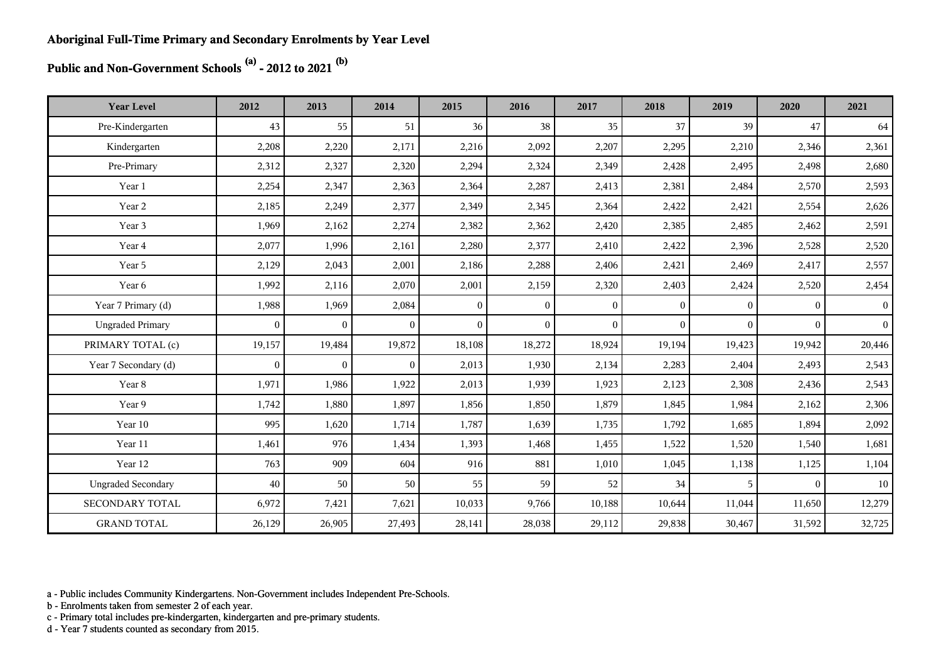**Public and Non-Government Schools (a) - 2012 to 2021 (b)**

| <b>Year Level</b>         | 2012         | 2013           | 2014           | 2015           | 2016           | 2017         | 2018         | 2019         | 2020         | 2021      |
|---------------------------|--------------|----------------|----------------|----------------|----------------|--------------|--------------|--------------|--------------|-----------|
| Pre-Kindergarten          | 43           | 55             | 51             | 36             | 38             | 35           | 37           | 39           | 47           | 64        |
| Kindergarten              | 2,208        | 2,220          | 2,171          | 2,216          | 2,092          | 2,207        | 2,295        | 2,210        | 2,346        | 2,361     |
| Pre-Primary               | 2,312        | 2,327          | 2,320          | 2,294          | 2,324          | 2,349        | 2,428        | 2,495        | 2,498        | 2,680     |
| Year 1                    | 2,254        | 2,347          | 2,363          | 2,364          | 2,287          | 2,413        | 2,381        | 2,484        | 2,570        | 2,593     |
| Year 2                    | 2,185        | 2,249          | 2,377          | 2,349          | 2,345          | 2,364        | 2,422        | 2,421        | 2,554        | 2,626     |
| Year 3                    | 1,969        | 2,162          | 2,274          | 2,382          | 2,362          | 2,420        | 2,385        | 2,485        | 2,462        | 2,591     |
| Year 4                    | 2,077        | 1,996          | 2,161          | 2,280          | 2,377          | 2,410        | 2,422        | 2,396        | 2,528        | 2,520     |
| Year 5                    | 2,129        | 2,043          | 2,001          | 2,186          | 2,288          | 2,406        | 2,421        | 2,469        | 2,417        | 2,557     |
| Year 6                    | 1,992        | 2,116          | 2,070          | 2,001          | 2,159          | 2,320        | 2,403        | 2,424        | 2,520        | 2,454     |
| Year 7 Primary (d)        | 1,988        | 1,969          | 2,084          | $\overline{0}$ | $\overline{0}$ | $\mathbf{0}$ | $\mathbf{0}$ | $\mathbf{0}$ | $\theta$     | $\vert$ 0 |
| <b>Ungraded Primary</b>   | $\mathbf{0}$ | $\overline{0}$ | $\overline{0}$ | $\theta$       | $\theta$       | $\theta$     | $\theta$     | $\theta$     | $\Omega$     | $\vert$ 0 |
| PRIMARY TOTAL (c)         | 19,157       | 19,484         | 19,872         | 18,108         | 18,272         | 18,924       | 19,194       | 19,423       | 19,942       | 20,446    |
| Year 7 Secondary (d)      | $\mathbf{0}$ | $\overline{0}$ | $\overline{0}$ | 2,013          | 1,930          | 2,134        | 2,283        | 2,404        | 2,493        | 2,543     |
| Year 8                    | 1,971        | 1,986          | 1,922          | 2,013          | 1,939          | 1,923        | 2,123        | 2,308        | 2,436        | 2,543     |
| Year 9                    | 1,742        | 1,880          | 1,897          | 1,856          | 1,850          | 1,879        | 1,845        | 1,984        | 2,162        | 2,306     |
| Year 10                   | 995          | 1,620          | 1,714          | 1,787          | 1,639          | 1,735        | 1,792        | 1,685        | 1,894        | 2,092     |
| Year 11                   | 1,461        | 976            | 1,434          | 1,393          | 1,468          | 1,455        | 1,522        | 1,520        | 1,540        | 1,681     |
| Year 12                   | 763          | 909            | 604            | 916            | 881            | 1,010        | 1,045        | 1,138        | 1,125        | 1,104     |
| <b>Ungraded Secondary</b> | 40           | 50             | 50             | 55             | 59             | 52           | 34           | 5            | $\mathbf{0}$ | 10        |
| SECONDARY TOTAL           | 6,972        | 7,421          | 7,621          | 10,033         | 9,766          | 10,188       | 10,644       | 11,044       | 11,650       | 12,279    |
| <b>GRAND TOTAL</b>        | 26,129       | 26,905         | 27,493         | 28,141         | 28,038         | 29,112       | 29,838       | 30,467       | 31,592       | 32,725    |

a - Public includes Community Kindergartens. Non-Government includes Independent Pre-Schools.

b - Enrolments taken from semester 2 of each year.

c - Primary total includes pre-kindergarten, kindergarten and pre-primary students.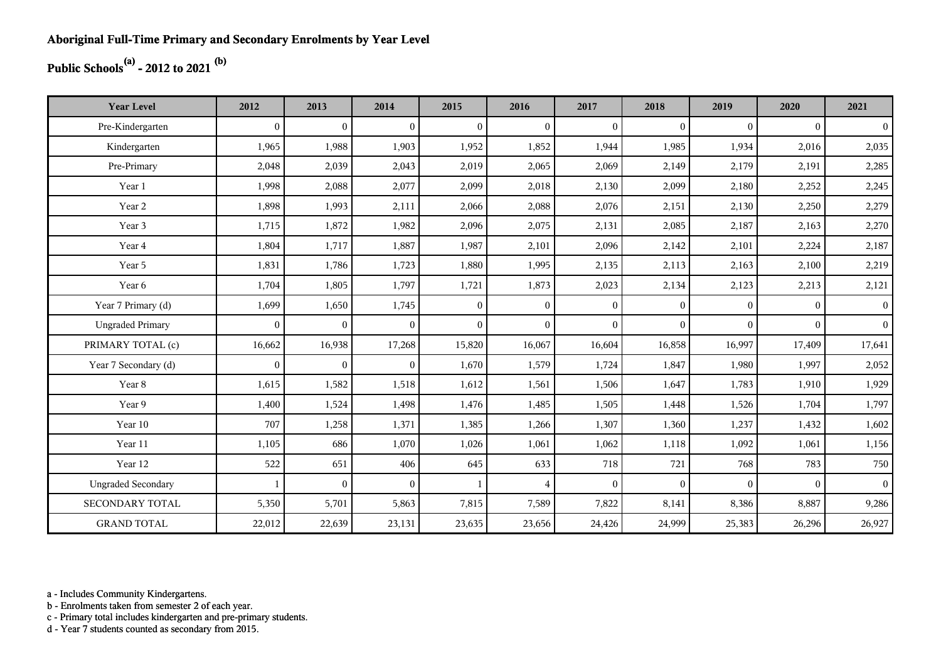## **Public Schools(a) - 2012 to 2021 (b)**

| <b>Year Level</b>         | 2012         | 2013           | 2014           | 2015           | 2016           | 2017           | 2018           | 2019     | 2020     | 2021           |
|---------------------------|--------------|----------------|----------------|----------------|----------------|----------------|----------------|----------|----------|----------------|
| Pre-Kindergarten          | $\theta$     | $\overline{0}$ | $\overline{0}$ | $\Omega$       | $\mathbf{0}$   | $\theta$       | $\mathbf{0}$   | $\Omega$ | $\theta$ | $\overline{0}$ |
| Kindergarten              | 1,965        | 1,988          | 1,903          | 1,952          | 1,852          | 1,944          | 1,985          | 1,934    | 2,016    | 2,035          |
| Pre-Primary               | 2,048        | 2,039          | 2,043          | 2,019          | 2,065          | 2,069          | 2,149          | 2,179    | 2,191    | 2,285          |
| Year 1                    | 1,998        | 2,088          | 2,077          | 2,099          | 2,018          | 2,130          | 2,099          | 2,180    | 2,252    | 2,245          |
| Year 2                    | 1,898        | 1,993          | 2,111          | 2,066          | 2,088          | 2,076          | 2,151          | 2,130    | 2,250    | 2,279          |
| Year 3                    | 1,715        | 1,872          | 1,982          | 2,096          | 2,075          | 2,131          | 2,085          | 2,187    | 2,163    | 2,270          |
| Year 4                    | 1,804        | 1,717          | 1,887          | 1,987          | 2,101          | 2,096          | 2,142          | 2,101    | 2,224    | 2,187          |
| Year 5                    | 1,831        | 1,786          | 1,723          | 1,880          | 1,995          | 2,135          | 2,113          | 2,163    | 2,100    | 2,219          |
| Year 6                    | 1,704        | 1,805          | 1,797          | 1,721          | 1,873          | 2,023          | 2,134          | 2,123    | 2,213    | 2,121          |
| Year 7 Primary (d)        | 1,699        | 1,650          | 1,745          | $\overline{0}$ | $\overline{0}$ | $\overline{0}$ | $\theta$       | $\Omega$ | $\Omega$ | 0 <sup>1</sup> |
| <b>Ungraded Primary</b>   | $\mathbf{0}$ | $\mathbf{0}$   | $\mathbf{0}$   | $\overline{0}$ | $\theta$       | $\theta$       | $\mathbf{0}$   | $\Omega$ | $\Omega$ | 0 <sup>1</sup> |
| PRIMARY TOTAL (c)         | 16,662       | 16,938         | 17,268         | 15,820         | 16,067         | 16,604         | 16,858         | 16,997   | 17,409   | 17,641         |
| Year 7 Secondary (d)      | $\mathbf{0}$ | $\mathbf{0}$   | $\overline{0}$ | 1,670          | 1,579          | 1,724          | 1,847          | 1,980    | 1,997    | 2,052          |
| Year 8                    | 1,615        | 1,582          | 1,518          | 1,612          | 1,561          | 1,506          | 1,647          | 1,783    | 1,910    | 1,929          |
| Year 9                    | 1,400        | 1,524          | 1,498          | 1,476          | 1,485          | 1,505          | 1,448          | 1,526    | 1,704    | 1,797          |
| Year 10                   | 707          | 1,258          | 1,371          | 1,385          | 1,266          | 1,307          | 1,360          | 1,237    | 1,432    | 1,602          |
| Year 11                   | 1,105        | 686            | 1,070          | 1,026          | 1,061          | 1,062          | 1,118          | 1,092    | 1,061    | 1,156          |
| Year 12                   | 522          | 651            | 406            | 645            | 633            | 718            | 721            | 768      | 783      | 750            |
| <b>Ungraded Secondary</b> |              | $\overline{0}$ | $\overline{0}$ | -1             | $\overline{4}$ | $\theta$       | $\overline{0}$ | $\Omega$ | $\theta$ | 0 <sup>1</sup> |
| <b>SECONDARY TOTAL</b>    | 5,350        | 5,701          | 5,863          | 7,815          | 7,589          | 7,822          | 8,141          | 8,386    | 8,887    | 9,286          |
| <b>GRAND TOTAL</b>        | 22,012       | 22,639         | 23,131         | 23,635         | 23,656         | 24,426         | 24,999         | 25,383   | 26,296   | 26,927         |

a - Includes Community Kindergartens.

b - Enrolments taken from semester 2 of each year.

c - Primary total includes kindergarten and pre-primary students.